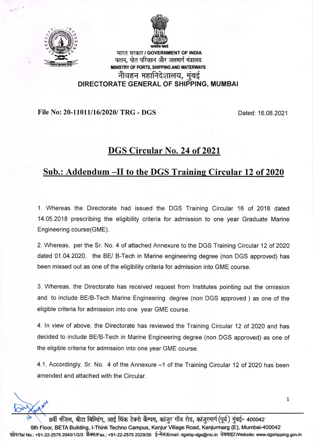



भारत सरकार / GOVERNMENT OF INDIA पत्तन, पोत परिवहन और जलमार्ग मंत्रालय MINISTRY OF PORTS, SHIPPING AND WATERWAYS नौवहन महानिदेशालय. मंबई DIRECTORATE GENERAL OF SHIPPING, MUMBAI

## File No: 20-11011/16/2020/ TRG - DGS Dated: 16.08.2021

## DGS Circular No. 24 of 2021

## Sub.: Addendum -II to the DGS Training Circular 12 of 2020

1. Whereas the Directorate had issued the DGS Training Circular 16 of 2018 dated 14.05.2018 prescribing the eligibility criteria for admission to one year Graduate Marine Engineering course(GME).

2. Whereas, per the Sr. No. 4 of attached Annexure to the DGS Training Circular 12 of 2020 dated 01.04.2020, the BE/ B-Tech in Marine engineering degree (non DGS approved) has been missed out as one of the eligibility criteria for admission into GME course.

3. Whereas, the Directorate has received request from lnstitutes pointing out the omission and to include BE/B-Tech Marine Engineering degree (non DGS approved ) as one of the eligible criteria for admission into one year GME course.

4. ln view of above, the Directorate has reviewed the Training Circular 12 of 2020 and has decided to include BE/B-Tech in Marine Engineering degree (non DGS approved) as one of the eligible criteria for admission into one year GME course.

4.1. Accordingly, Sr. No. 4 of the Annexure -1 of the Training Circular 12 of 2020 has been amended and attached with the Circular.

 $\mathscr{C}^{\prime}$ 

9वीं मंजिल, बीटा बिल्डिंग, आई थिंक टेक्नो कैम्पस, कांजूर गाँव रोड, कांजूरमार्ग(पूर्व) मुंबई- 400042 9th Floor, BETA Building, I-Think Techno Campus, Kanjur Village Road, Kanjurmarg (E), Mumbai-400042 फ़ोन/Tel No.: +91-22-2575 2040/1/2/3 फ़ैक्स/Fax.: +91-22-2575 2029/35 ई-मेल/Email: dgship-dgs@nic.in वेबसाइट/Website: www.dgshipping.gov.in